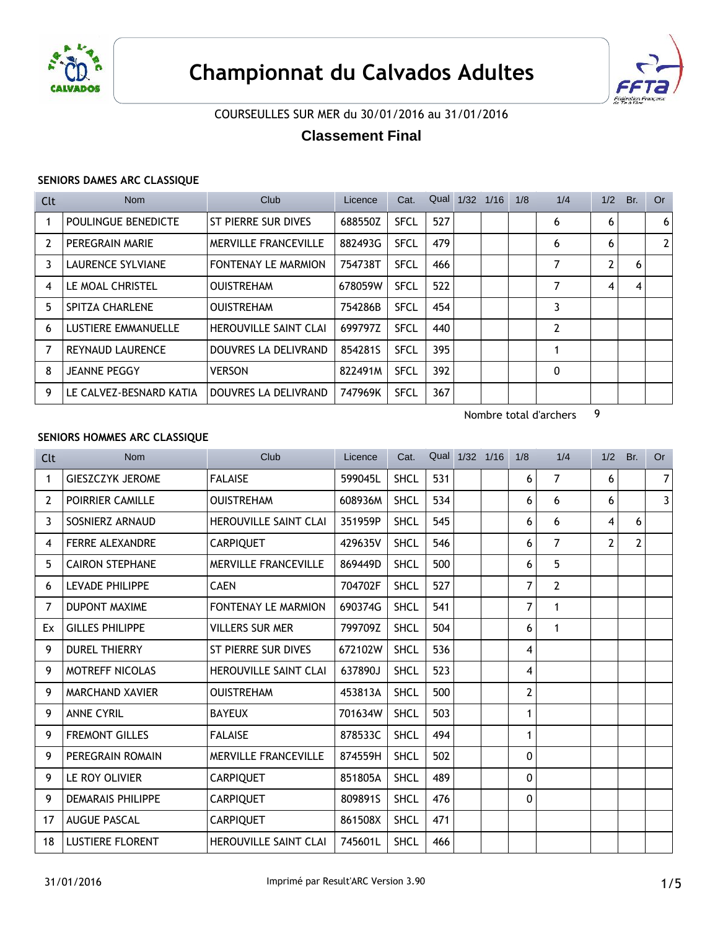



## COURSEULLES SUR MER du 30/01/2016 au 31/01/2016

# **Classement Final**

### **SENIORS DAMES ARC CLASSIQUE**

| Clt | <b>Nom</b>              | Club                         | Licence | Cat.        | Qual 1/32 | 1/16 | 1/8 | 1/4 | 1/2            | Br. | <b>Or</b>             |
|-----|-------------------------|------------------------------|---------|-------------|-----------|------|-----|-----|----------------|-----|-----------------------|
|     | POULINGUE BENEDICTE     | ST PIERRE SUR DIVES          | 688550Z | <b>SFCL</b> | 527       |      |     | 6   | 6              |     | 6                     |
| 2   | PEREGRAIN MARIE         | MERVILLE FRANCEVILLE         | 882493G | <b>SFCL</b> | 479       |      |     | 6   | 6              |     | $\mathbf{2}^{\prime}$ |
| 3   | LAURENCE SYLVIANE       | <b>FONTENAY LE MARMION</b>   | 754738T | <b>SFCL</b> | 466       |      |     |     | $\overline{2}$ | 6   |                       |
| 4   | LE MOAL CHRISTEL        | <b>OUISTREHAM</b>            | 678059W | <b>SFCL</b> | 522       |      |     | 7   | 4              | 4   |                       |
| 5   | <b>SPITZA CHARLENE</b>  | <b>OUISTREHAM</b>            | 754286B | <b>SFCL</b> | 454       |      |     | 3   |                |     |                       |
| 6   | LUSTIERE EMMANUELLE     | <b>HEROUVILLE SAINT CLAI</b> | 699797Z | <b>SFCL</b> | 440       |      |     | 2   |                |     |                       |
|     | <b>REYNAUD LAURENCE</b> | DOUVRES LA DELIVRAND         | 8542815 | <b>SFCL</b> | 395       |      |     |     |                |     |                       |
| 8   | <b>JEANNE PEGGY</b>     | <b>VERSON</b>                | 822491M | <b>SFCL</b> | 392       |      |     | 0   |                |     |                       |
| 9   | LE CALVEZ-BESNARD KATIA | DOUVRES LA DELIVRAND         | 747969K | <b>SFCL</b> | 367       |      |     |     |                |     |                       |

Nombre total d'archers 9

### **SENIORS HOMMES ARC CLASSIQUE**

| <b>Clt</b> | <b>Nom</b>               | Club                         | Licence | Cat.        |     | Qual 1/32 1/16 | 1/8 | 1/4            | 1/2            | Br. | <b>Or</b> |
|------------|--------------------------|------------------------------|---------|-------------|-----|----------------|-----|----------------|----------------|-----|-----------|
| 1          | <b>GIESZCZYK JEROME</b>  | <b>FALAISE</b>               | 599045L | <b>SHCL</b> | 531 |                | 6   | 7              | 6              |     | 7         |
| 2          | POIRRIER CAMILLE         | <b>OUISTREHAM</b>            | 608936M | <b>SHCL</b> | 534 |                | 6   | 6              | 6              |     | 3         |
| 3          | SOSNIERZ ARNAUD          | <b>HEROUVILLE SAINT CLAI</b> | 351959P | <b>SHCL</b> | 545 |                | 6   | 6              | 4              | 6   |           |
| 4          | <b>FERRE ALEXANDRE</b>   | <b>CARPIQUET</b>             | 429635V | <b>SHCL</b> | 546 |                | 6   | 7              | $\overline{2}$ | 2   |           |
| 5          | <b>CAIRON STEPHANE</b>   | <b>MERVILLE FRANCEVILLE</b>  | 869449D | <b>SHCL</b> | 500 |                | 6   | 5              |                |     |           |
| 6          | LEVADE PHILIPPE          | <b>CAEN</b>                  | 704702F | <b>SHCL</b> | 527 |                | 7   | $\overline{2}$ |                |     |           |
| 7          | <b>DUPONT MAXIME</b>     | <b>FONTENAY LE MARMION</b>   | 690374G | <b>SHCL</b> | 541 |                | 7   | 1              |                |     |           |
| Ex         | <b>GILLES PHILIPPE</b>   | <b>VILLERS SUR MER</b>       | 799709Z | <b>SHCL</b> | 504 |                | 6   | 1              |                |     |           |
| 9          | <b>DUREL THIERRY</b>     | ST PIERRE SUR DIVES          | 672102W | <b>SHCL</b> | 536 |                | 4   |                |                |     |           |
| 9          | <b>MOTREFF NICOLAS</b>   | <b>HEROUVILLE SAINT CLAI</b> | 637890J | <b>SHCL</b> | 523 |                | 4   |                |                |     |           |
| 9          | <b>MARCHAND XAVIER</b>   | <b>OUISTREHAM</b>            | 453813A | <b>SHCL</b> | 500 |                | 2   |                |                |     |           |
| 9          | <b>ANNE CYRIL</b>        | <b>BAYEUX</b>                | 701634W | <b>SHCL</b> | 503 |                | 1   |                |                |     |           |
| 9          | <b>FREMONT GILLES</b>    | <b>FALAISE</b>               | 878533C | <b>SHCL</b> | 494 |                | 1   |                |                |     |           |
| 9          | PEREGRAIN ROMAIN         | MERVILLE FRANCEVILLE         | 874559H | <b>SHCL</b> | 502 |                | 0   |                |                |     |           |
| 9          | LE ROY OLIVIER           | <b>CARPIQUET</b>             | 851805A | <b>SHCL</b> | 489 |                | 0   |                |                |     |           |
| 9          | <b>DEMARAIS PHILIPPE</b> | <b>CARPIQUET</b>             | 809891S | <b>SHCL</b> | 476 |                | 0   |                |                |     |           |
| 17         | <b>AUGUE PASCAL</b>      | <b>CARPIQUET</b>             | 861508X | <b>SHCL</b> | 471 |                |     |                |                |     |           |
| 18         | <b>LUSTIERE FLORENT</b>  | <b>HEROUVILLE SAINT CLAI</b> | 745601L | <b>SHCL</b> | 466 |                |     |                |                |     |           |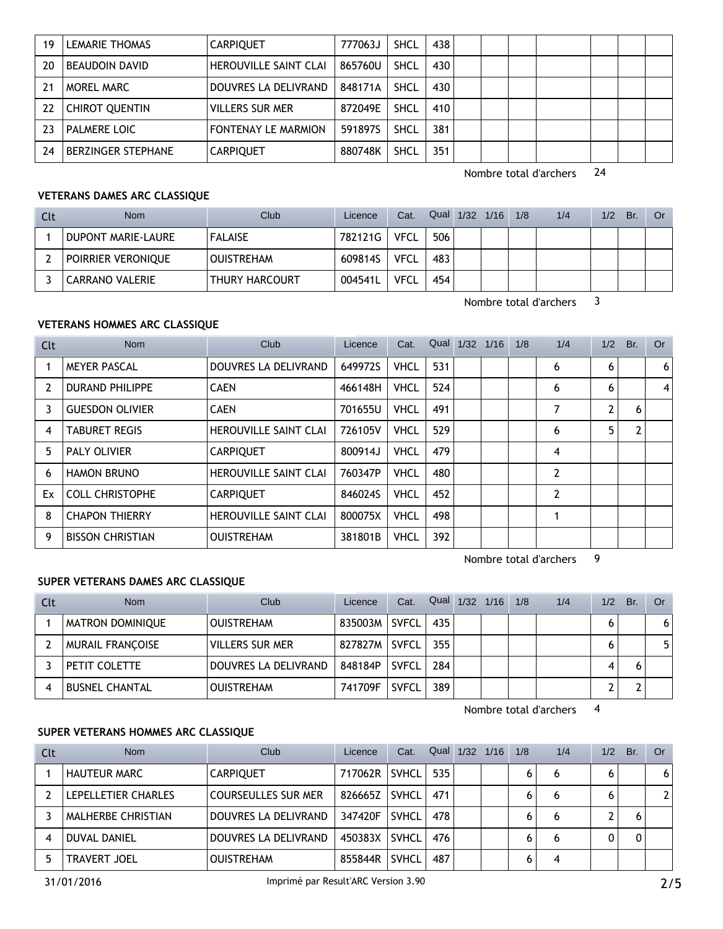| 19 | LEMARIE THOMAS            | <b>CARPIOUET</b>           | 777063J | <b>SHCL</b> | 438 |  |  |  |  |
|----|---------------------------|----------------------------|---------|-------------|-----|--|--|--|--|
| 20 | <b>BEAUDOIN DAVID</b>     | HEROUVILLE SAINT CLAI      | 865760U | SHCL        | 430 |  |  |  |  |
| 21 | MOREL MARC                | DOUVRES LA DELIVRAND       | 848171A | SHCL        | 430 |  |  |  |  |
| 22 | <b>CHIROT QUENTIN</b>     | <b>VILLERS SUR MER</b>     | 872049E | SHCL        | 410 |  |  |  |  |
| 23 | <b>PALMERE LOIC</b>       | <b>FONTENAY LE MARMION</b> | 591897S | SHCL        | 381 |  |  |  |  |
| 24 | <b>BERZINGER STEPHANE</b> | <b>CARPIQUET</b>           | 880748K | <b>SHCL</b> | 351 |  |  |  |  |

Nombre total d'archers 24

#### **VETERANS DAMES ARC CLASSIQUE**

| Clt | <b>Nom</b>             | Club                  | Licence | Cat.        |     | Qual 1/32 1/16 | 1/8 | 1/4 | 1/2 | Br. | Or |
|-----|------------------------|-----------------------|---------|-------------|-----|----------------|-----|-----|-----|-----|----|
|     | DUPONT MARIE-LAURE     | <b>FALAISE</b>        | 782121G | VFCL        | 506 |                |     |     |     |     |    |
|     | POIRRIER VERONIQUE     | <b>OUISTREHAM</b>     | 609814S | VFCL        | 483 |                |     |     |     |     |    |
|     | <b>CARRANO VALERIE</b> | <b>THURY HARCOURT</b> | 004541L | <b>VFCL</b> | 454 |                |     |     |     |     |    |

Nombre total d'archers 3

### **VETERANS HOMMES ARC CLASSIQUE**

| Clt | <b>Nom</b>              | Club                         | Licence | Cat.        |     | Qual 1/32 | 1/16 | 1/8 | 1/4            | 1/2 | Br.            | Or |
|-----|-------------------------|------------------------------|---------|-------------|-----|-----------|------|-----|----------------|-----|----------------|----|
|     | <b>MEYER PASCAL</b>     | DOUVRES LA DELIVRAND         | 649972S | <b>VHCL</b> | 531 |           |      |     | 6              | 6   |                | 6  |
|     | <b>DURAND PHILIPPE</b>  | <b>CAEN</b>                  | 466148H | <b>VHCL</b> | 524 |           |      |     | 6              | 6   |                | 4  |
| 3   | <b>GUESDON OLIVIER</b>  | <b>CAEN</b>                  | 701655U | <b>VHCL</b> | 491 |           |      |     | 7              | 2   | 6              |    |
| 4   | <b>TABURET REGIS</b>    | <b>HEROUVILLE SAINT CLAI</b> | 726105V | <b>VHCL</b> | 529 |           |      |     | 6              | 5   | $\overline{2}$ |    |
| 5   | <b>PALY OLIVIER</b>     | <b>CARPIQUET</b>             | 800914J | <b>VHCL</b> | 479 |           |      |     | 4              |     |                |    |
| 6   | <b>HAMON BRUNO</b>      | <b>HEROUVILLE SAINT CLAI</b> | 760347P | <b>VHCL</b> | 480 |           |      |     | $\overline{2}$ |     |                |    |
| Ex  | <b>COLL CHRISTOPHE</b>  | <b>CARPIQUET</b>             | 846024S | <b>VHCL</b> | 452 |           |      |     | $\overline{2}$ |     |                |    |
| 8   | <b>CHAPON THIERRY</b>   | HEROUVILLE SAINT CLAI        | 800075X | <b>VHCL</b> | 498 |           |      |     |                |     |                |    |
| 9   | <b>BISSON CHRISTIAN</b> | <b>OUISTREHAM</b>            | 381801B | <b>VHCL</b> | 392 |           |      |     |                |     |                |    |

Nombre total d'archers 9

#### **SUPER VETERANS DAMES ARC CLASSIQUE**

| Clt | <b>Nom</b>              | Club                 | Licence         | Cat.         | Qual | $1/32$ $1/16$ | 1/8 | 1/4 | 1/2 | Br. | Or |
|-----|-------------------------|----------------------|-----------------|--------------|------|---------------|-----|-----|-----|-----|----|
|     | <b>MATRON DOMINIQUE</b> | <b>OUISTREHAM</b>    | 835003M         | SVFCL        | 435  |               |     |     |     |     | 6  |
|     | <b>MURAIL FRANCOISE</b> | VILLERS SUR MER      | 827827M   SVFCL |              | 355  |               |     |     |     |     | 5. |
|     | PETIT COLETTE           | DOUVRES LA DELIVRAND | 848184P         | <b>SVFCL</b> | 284  |               |     |     |     |     |    |
|     | <b>BUSNEL CHANTAL</b>   | <b>OUISTREHAM</b>    | 741709F         | <b>SVFCL</b> | 389  |               |     |     |     |     |    |

Nombre total d'archers 4

#### **SUPER VETERANS HOMMES ARC CLASSIQUE**

| Clt | <b>Nom</b>          | Club                       | Licence | Cat.         | Qual | 1/32 | 1/16 | 1/8 | 1/4 | 1/2 | Br. | <b>Or</b> |
|-----|---------------------|----------------------------|---------|--------------|------|------|------|-----|-----|-----|-----|-----------|
|     | <b>HAUTEUR MARC</b> | <b>CARPIQUET</b>           | 717062R | SVHCL I      | 535  |      |      | 6   | 6   | 6   |     | 6         |
|     | LEPELLETIER CHARLES | <b>COURSEULLES SUR MER</b> | 826665Z | SVHCL        | 471  |      |      |     |     |     |     |           |
|     | MALHERBE CHRISTIAN  | DOUVRES LA DELIVRAND       | 347420F | SVHCL I      | 478  |      |      | 6   | 6   |     |     |           |
|     | <b>DUVAL DANIEL</b> | DOUVRES LA DELIVRAND       | 450383X | <b>SVHCL</b> | 476  |      |      |     |     |     |     |           |
|     | <b>TRAVERT JOEL</b> | <b>OUISTREHAM</b>          | 855844R | <b>SVHCL</b> | 487  |      |      | 0   |     |     |     |           |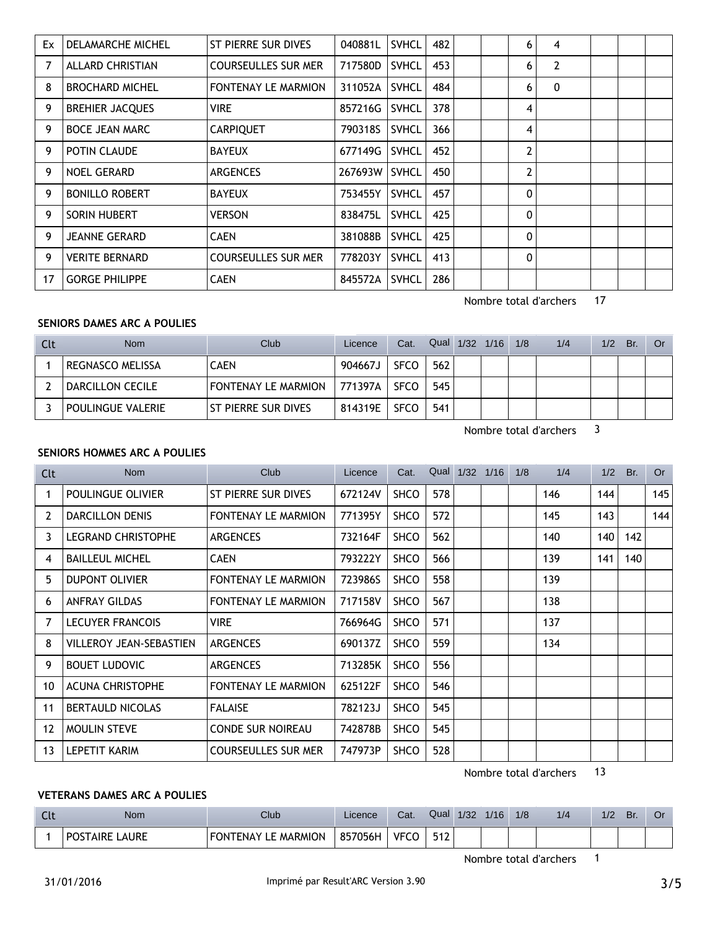| Ex | DELAMARCHE MICHEL       | ST PIERRE SUR DIVES        | 040881L | <b>SVHCL</b> | 482 |  | 6            | 4              |  |  |
|----|-------------------------|----------------------------|---------|--------------|-----|--|--------------|----------------|--|--|
| 7  | <b>ALLARD CHRISTIAN</b> | <b>COURSEULLES SUR MER</b> | 717580D | <b>SVHCL</b> | 453 |  | 6            | $\overline{2}$ |  |  |
| 8  | <b>BROCHARD MICHEL</b>  | <b>FONTENAY LE MARMION</b> | 311052A | <b>SVHCL</b> | 484 |  | 6            | 0              |  |  |
| 9  | <b>BREHIER JACQUES</b>  | VIRE                       | 857216G | <b>SVHCL</b> | 378 |  | 4            |                |  |  |
| 9  | <b>BOCE JEAN MARC</b>   | <b>CARPIQUET</b>           | 790318S | <b>SVHCL</b> | 366 |  | 4            |                |  |  |
| 9  | POTIN CLAUDE            | <b>BAYEUX</b>              | 677149G | <b>SVHCL</b> | 452 |  | 2            |                |  |  |
| 9  | <b>NOEL GERARD</b>      | <b>ARGENCES</b>            | 267693W | <b>SVHCL</b> | 450 |  | 2            |                |  |  |
| 9  | <b>BONILLO ROBERT</b>   | <b>BAYEUX</b>              | 753455Y | <b>SVHCL</b> | 457 |  | 0            |                |  |  |
| 9  | SORIN HUBERT            | <b>VERSON</b>              | 838475L | <b>SVHCL</b> | 425 |  | 0            |                |  |  |
| 9  | <b>JEANNE GERARD</b>    | <b>CAEN</b>                | 381088B | <b>SVHCL</b> | 425 |  | $\Omega$     |                |  |  |
| 9  | <b>VERITE BERNARD</b>   | <b>COURSEULLES SUR MER</b> | 778203Y | <b>SVHCL</b> | 413 |  | $\mathbf{0}$ |                |  |  |
| 17 | <b>GORGE PHILIPPE</b>   | <b>CAEN</b>                | 845572A | <b>SVHCL</b> | 286 |  |              |                |  |  |

Nombre total d'archers 17

### **SENIORS DAMES ARC A POULIES**

| <b>Clt</b> | <b>Nom</b>        | <b>Club</b>                | Licence | Cat.        | Qual 1/32 1/16 |  | 1/8 | 1/4 | 1/2 | Br. | Or |
|------------|-------------------|----------------------------|---------|-------------|----------------|--|-----|-----|-----|-----|----|
|            | REGNASCO MELISSA  | CAEN                       | 904667J | <b>SFCO</b> | 562            |  |     |     |     |     |    |
|            | DARCILLON CECILE  | <b>FONTENAY LE MARMION</b> | 771397A | <b>SFCO</b> | 545            |  |     |     |     |     |    |
|            | POULINGUE VALERIE | l St pierre sur dives      | 814319E | <b>SFCO</b> | 541            |  |     |     |     |     |    |

Nombre total d'archers 3

### **SENIORS HOMMES ARC A POULIES**

| Clt | <b>Nom</b>                     | Club                       | Licence | Cat.        |     | Qual 1/32 1/16 | 1/8 | 1/4 | 1/2 | Br. | <b>Or</b> |
|-----|--------------------------------|----------------------------|---------|-------------|-----|----------------|-----|-----|-----|-----|-----------|
|     | POULINGUE OLIVIER              | ST PIERRE SUR DIVES        | 672124V | <b>SHCO</b> | 578 |                |     | 146 | 144 |     | 145       |
| 2   | <b>DARCILLON DENIS</b>         | <b>FONTENAY LE MARMION</b> | 771395Y | SHCO        | 572 |                |     | 145 | 143 |     | 144       |
| 3   | <b>LEGRAND CHRISTOPHE</b>      | <b>ARGENCES</b>            | 732164F | <b>SHCO</b> | 562 |                |     | 140 | 140 | 142 |           |
| 4   | <b>BAILLEUL MICHEL</b>         | <b>CAEN</b>                | 793222Y | <b>SHCO</b> | 566 |                |     | 139 | 141 | 140 |           |
| 5   | <b>DUPONT OLIVIER</b>          | <b>FONTENAY LE MARMION</b> | 723986S | <b>SHCO</b> | 558 |                |     | 139 |     |     |           |
| 6   | <b>ANFRAY GILDAS</b>           | <b>FONTENAY LE MARMION</b> | 717158V | <b>SHCO</b> | 567 |                |     | 138 |     |     |           |
| 7   | <b>LECUYER FRANCOIS</b>        | VIRE                       | 766964G | <b>SHCO</b> | 571 |                |     | 137 |     |     |           |
| 8   | <b>VILLEROY JEAN-SEBASTIEN</b> | <b>ARGENCES</b>            | 690137Z | <b>SHCO</b> | 559 |                |     | 134 |     |     |           |
| 9   | <b>BOUET LUDOVIC</b>           | <b>ARGENCES</b>            | 713285K | <b>SHCO</b> | 556 |                |     |     |     |     |           |
| 10  | <b>ACUNA CHRISTOPHE</b>        | <b>FONTENAY LE MARMION</b> | 625122F | <b>SHCO</b> | 546 |                |     |     |     |     |           |
| 11  | <b>BERTAULD NICOLAS</b>        | <b>FALAISE</b>             | 782123J | <b>SHCO</b> | 545 |                |     |     |     |     |           |
| 12  | <b>MOULIN STEVE</b>            | <b>CONDE SUR NOIREAU</b>   | 742878B | <b>SHCO</b> | 545 |                |     |     |     |     |           |
| 13  | LEPETIT KARIM                  | <b>COURSEULLES SUR MER</b> | 747973P | <b>SHCO</b> | 528 |                |     |     |     |     |           |

Nombre total d'archers 13

### **VETERANS DAMES ARC A POULIES**

| <b>LIL</b> | Nom                      | Club                                  | Licence | Cat.        | Qual | 1/32 | 1/16 | 1/8 | 1/4 | 1/2 | Br. |  |
|------------|--------------------------|---------------------------------------|---------|-------------|------|------|------|-----|-----|-----|-----|--|
|            | LAURE<br><b>POSTAIRE</b> | <b>FONTENAY</b><br>L <b>E MARMION</b> | 857056H | <b>VECC</b> | 512  |      |      |     |     |     |     |  |

Nombre total d'archers 1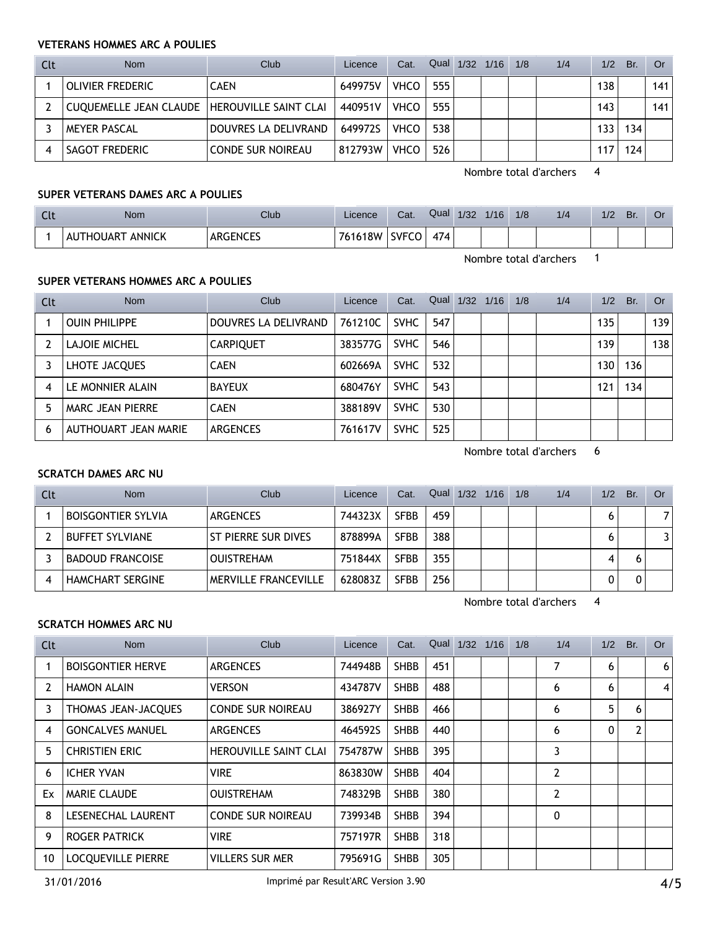### **VETERANS HOMMES ARC A POULIES**

| Clt | <b>Nom</b>                                     | Club                     | Licence | Cat.        | Qual 1/32 1/16 |  | 1/8 | 1/4 | 1/2 | Br. | Or  |
|-----|------------------------------------------------|--------------------------|---------|-------------|----------------|--|-----|-----|-----|-----|-----|
|     | <b>OLIVIER FREDERIC</b>                        | <b>CAEN</b>              | 649975V | <b>VHCO</b> | 555            |  |     |     | 138 |     | 141 |
|     | CUQUEMELLE JEAN CLAUDE   HEROUVILLE SAINT CLAI |                          | 440951V | <b>VHCO</b> | 555            |  |     |     | 143 |     | 141 |
|     | <b>MEYER PASCAL</b>                            | DOUVRES LA DELIVRAND     | 649972S | <b>VHCO</b> | 538            |  |     |     | 133 | 134 |     |
|     | <b>SAGOT FREDERIC</b>                          | <b>CONDE SUR NOIREAU</b> | 812793W | <b>VHCO</b> | 526            |  |     |     | 117 | 124 |     |

Nombre total d'archers 4

### **SUPER VETERANS DAMES ARC A POULIES**

| <b>Clt</b> | <b>Nom</b>                       | Club            | Licence | Cat.         | Qual | 1/32 | 1/16 | 1/8 | 1/4 | 1/2 | Br. | Οī |
|------------|----------------------------------|-----------------|---------|--------------|------|------|------|-----|-----|-----|-----|----|
|            | <sup>-</sup> ANNICK<br>AUTHOUART | <b>ARGENCES</b> | 761618W | <b>SVFCO</b> | 474  |      |      |     |     |     |     |    |

Nombre total d'archers 1

### **SUPER VETERANS HOMMES ARC A POULIES**

| Clt | <b>Nom</b>           | Club                 | Licence | Cat.        | Qual | 1/32 | 1/16 | 1/8 | 1/4 | 1/2 | Br. | <b>Or</b> |
|-----|----------------------|----------------------|---------|-------------|------|------|------|-----|-----|-----|-----|-----------|
|     | <b>OUIN PHILIPPE</b> | DOUVRES LA DELIVRAND | 761210C | <b>SVHC</b> | 547  |      |      |     |     | 135 |     | 139       |
|     | LAJOIE MICHEL        | <b>CARPIQUET</b>     | 383577G | <b>SVHC</b> | 546  |      |      |     |     | 139 |     | 138       |
|     | LHOTE JACQUES        | <b>CAEN</b>          | 602669A | <b>SVHC</b> | 532  |      |      |     |     | 130 | 136 |           |
| 4   | LE MONNIER ALAIN     | <b>BAYEUX</b>        | 680476Y | <b>SVHC</b> | 543  |      |      |     |     | 121 | 134 |           |
|     | MARC JEAN PIERRE     | <b>CAEN</b>          | 388189V | <b>SVHC</b> | 530  |      |      |     |     |     |     |           |
| 6   | AUTHOUART JEAN MARIE | <b>ARGENCES</b>      | 761617V | <b>SVHC</b> | 525  |      |      |     |     |     |     |           |

Nombre total d'archers 6

### **SCRATCH DAMES ARC NU**

| Clt | <b>Nom</b>                | Club                        | Licence | Cat.        | Qual | 1/32 | 1/16 | 1/8 | 1/4 | 1/2 | Br. | Or |
|-----|---------------------------|-----------------------------|---------|-------------|------|------|------|-----|-----|-----|-----|----|
|     | <b>BOISGONTIER SYLVIA</b> | <b>ARGENCES</b>             | 744323X | <b>SFBB</b> | 459  |      |      |     |     |     |     | 7  |
|     | <b>BUFFET SYLVIANE</b>    | ST PIERRE SUR DIVES         | 878899A | <b>SFBB</b> | 388  |      |      |     |     |     |     | 3  |
|     | <b>BADOUD FRANCOISE</b>   | <b>OUISTREHAM</b>           | 751844X | <b>SFBB</b> | 355  |      |      |     |     |     |     |    |
|     | <b>HAMCHART SERGINE</b>   | <b>MERVILLE FRANCEVILLE</b> | 628083Z | SFBB        | 256  |      |      |     |     |     |     |    |

Nombre total d'archers 4

# **SCRATCH HOMMES ARC NU**

| Clt | <b>Nom</b>                | Club                         | Licence | Cat.        | Qual | 1/32 | 1/16 | 1/8 | 1/4            | 1/2 | Br.            | Or             |
|-----|---------------------------|------------------------------|---------|-------------|------|------|------|-----|----------------|-----|----------------|----------------|
|     | <b>BOISGONTIER HERVE</b>  | <b>ARGENCES</b>              | 744948B | <b>SHBB</b> | 451  |      |      |     | 7              | 6   |                | 6 <sup>1</sup> |
| 2   | <b>HAMON ALAIN</b>        | <b>VERSON</b>                | 434787V | <b>SHBB</b> | 488  |      |      |     | 6              | 6   |                | 4              |
| 3   | THOMAS JEAN-JACQUES       | <b>CONDE SUR NOIREAU</b>     | 386927Y | <b>SHBB</b> | 466  |      |      |     | 6              | 5   | 6              |                |
| 4   | <b>GONCALVES MANUEL</b>   | <b>ARGENCES</b>              | 464592S | <b>SHBB</b> | 440  |      |      |     | 6              | 0   | $\overline{2}$ |                |
| 5   | <b>CHRISTIEN ERIC</b>     | <b>HEROUVILLE SAINT CLAI</b> | 754787W | <b>SHBB</b> | 395  |      |      |     | 3              |     |                |                |
| 6   | <b>ICHER YVAN</b>         | <b>VIRE</b>                  | 863830W | <b>SHBB</b> | 404  |      |      |     | 2              |     |                |                |
| Ex  | <b>MARIE CLAUDE</b>       | <b>OUISTREHAM</b>            | 748329B | <b>SHBB</b> | 380  |      |      |     | $\overline{2}$ |     |                |                |
| 8   | LESENECHAL LAURENT        | <b>CONDE SUR NOIREAU</b>     | 739934B | <b>SHBB</b> | 394  |      |      |     | 0              |     |                |                |
| 9   | <b>ROGER PATRICK</b>      | <b>VIRE</b>                  | 757197R | <b>SHBB</b> | 318  |      |      |     |                |     |                |                |
| 10  | <b>LOCOUEVILLE PIERRE</b> | <b>VILLERS SUR MER</b>       | 795691G | <b>SHBB</b> | 305  |      |      |     |                |     |                |                |